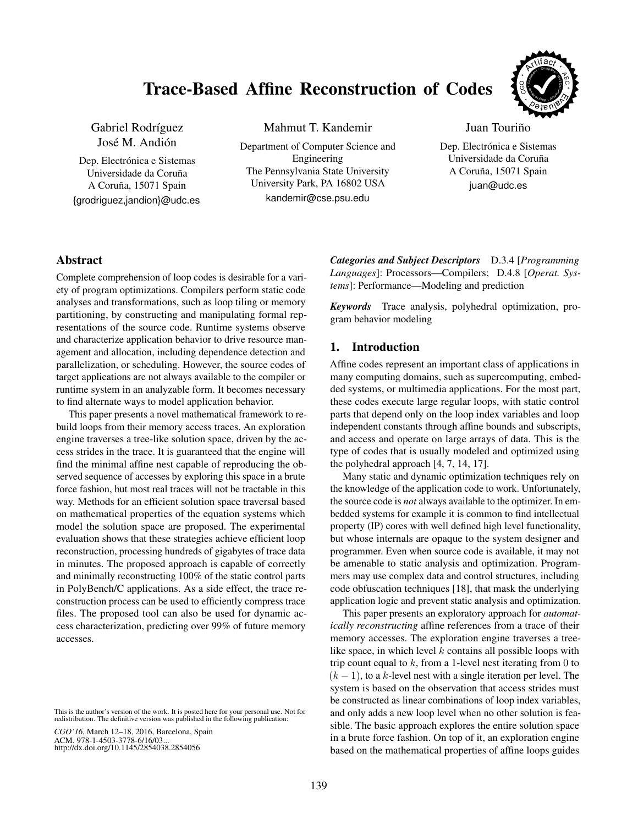# Trace-Based Affine Reconstruction of Codes



Gabriel Rodríguez José M. Andión

Dep. Electrónica e Sistemas Universidade da Coruña A Coruña, 15071 Spain {grodriguez,jandion}@udc.es Mahmut T. Kandemir

Department of Computer Science and Engineering The Pennsylvania State University University Park, PA 16802 USA kandemir@cse.psu.edu

Juan Touriño

Dep. Electrónica e Sistemas Universidade da Coruña A Coruña, 15071 Spain juan@udc.es

## Abstract

Complete comprehension of loop codes is desirable for a variety of program optimizations. Compilers perform static code analyses and transformations, such as loop tiling or memory partitioning, by constructing and manipulating formal representations of the source code. Runtime systems observe and characterize application behavior to drive resource management and allocation, including dependence detection and parallelization, or scheduling. However, the source codes of target applications are not always available to the compiler or runtime system in an analyzable form. It becomes necessary to find alternate ways to model application behavior.

This paper presents a novel mathematical framework to rebuild loops from their memory access traces. An exploration engine traverses a tree-like solution space, driven by the access strides in the trace. It is guaranteed that the engine will find the minimal affine nest capable of reproducing the observed sequence of accesses by exploring this space in a brute force fashion, but most real traces will not be tractable in this way. Methods for an efficient solution space traversal based on mathematical properties of the equation systems which model the solution space are proposed. The experimental evaluation shows that these strategies achieve efficient loop reconstruction, processing hundreds of gigabytes of trace data in minutes. The proposed approach is capable of correctly and minimally reconstructing 100% of the static control parts in PolyBench/C applications. As a side effect, the trace reconstruction process can be used to efficiently compress trace files. The proposed tool can also be used for dynamic access characterization, predicting over 99% of future memory accesses.

This is the author's version of the work. It is posted here for your personal use. Not for redistribution. The definitive version was published in the following publication:

*CGO'16*, March 12–18, 2016, Barcelona, Spain ACM. 978-1-4503-3778-6/16/03... http://dx.doi.org/10.1145/2854038.2854056

*Categories and Subject Descriptors* D.3.4 [*Programming Languages*]: Processors—Compilers; D.4.8 [*Operat. Systems*]: Performance—Modeling and prediction

*Keywords* Trace analysis, polyhedral optimization, program behavior modeling

## 1. Introduction

Affine codes represent an important class of applications in many computing domains, such as supercomputing, embedded systems, or multimedia applications. For the most part, these codes execute large regular loops, with static control parts that depend only on the loop index variables and loop independent constants through affine bounds and subscripts, and access and operate on large arrays of data. This is the type of codes that is usually modeled and optimized using the polyhedral approach [\[4,](#page-10-0) [7,](#page-10-1) [14,](#page-10-2) [17\]](#page-10-3).

Many static and dynamic optimization techniques rely on the knowledge of the application code to work. Unfortunately, the source code is *not* always available to the optimizer. In embedded systems for example it is common to find intellectual property (IP) cores with well defined high level functionality, but whose internals are opaque to the system designer and programmer. Even when source code is available, it may not be amenable to static analysis and optimization. Programmers may use complex data and control structures, including code obfuscation techniques [\[18\]](#page-10-4), that mask the underlying application logic and prevent static analysis and optimization.

This paper presents an exploratory approach for *automatically reconstructing* affine references from a trace of their memory accesses. The exploration engine traverses a treelike space, in which level  $k$  contains all possible loops with trip count equal to  $k$ , from a 1-level nest iterating from 0 to  $(k - 1)$ , to a k-level nest with a single iteration per level. The system is based on the observation that access strides must be constructed as linear combinations of loop index variables, and only adds a new loop level when no other solution is feasible. The basic approach explores the entire solution space in a brute force fashion. On top of it, an exploration engine based on the mathematical properties of affine loops guides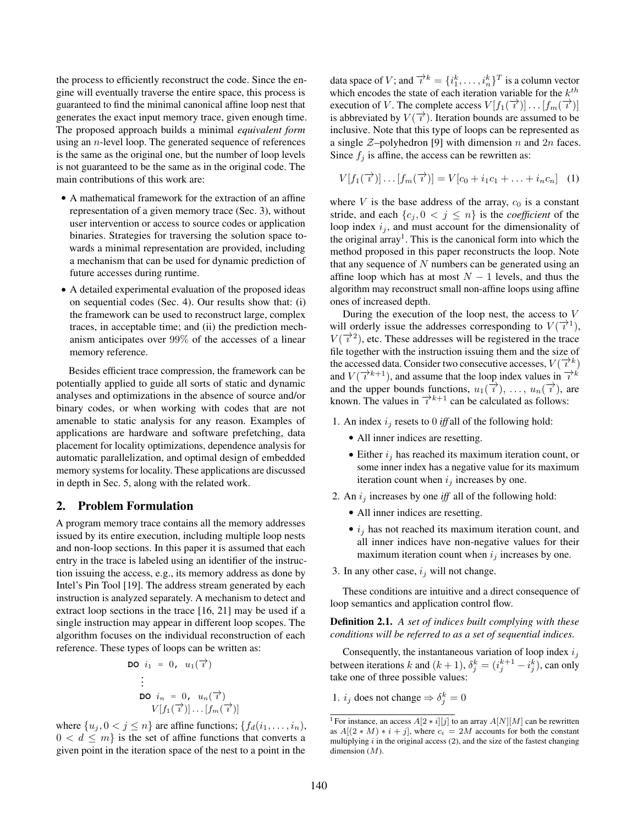the process to efficiently reconstruct the code. Since the engine will eventually traverse the entire space, this process is guaranteed to find the minimal canonical affine loop nest that generates the exact input memory trace, given enough time. The proposed approach builds a minimal *equivalent form* using an n-level loop. The generated sequence of references is the same as the original one, but the number of loop levels is not guaranteed to be the same as in the original code. The main contributions of this work are:

- A mathematical framework for the extraction of an affine representation of a given memory trace (Sec. [3\)](#page-2-0), without user intervention or access to source codes or application binaries. Strategies for traversing the solution space towards a minimal representation are provided, including a mechanism that can be used for dynamic prediction of future accesses during runtime.
- A detailed experimental evaluation of the proposed ideas on sequential codes (Sec. [4\)](#page-6-0). Our results show that: (i) the framework can be used to reconstruct large, complex traces, in acceptable time; and (ii) the prediction mechanism anticipates over 99% of the accesses of a linear memory reference.

Besides efficient trace compression, the framework can be potentially applied to guide all sorts of static and dynamic analyses and optimizations in the absence of source and/or binary codes, or when working with codes that are not amenable to static analysis for any reason. Examples of applications are hardware and software prefetching, data placement for locality optimizations, dependence analysis for automatic parallelization, and optimal design of embedded memory systems for locality. These applications are discussed in depth in Sec. [5,](#page-8-0) along with the related work.

# 2. Problem Formulation

A program memory trace contains all the memory addresses issued by its entire execution, including multiple loop nests and non-loop sections. In this paper it is assumed that each entry in the trace is labeled using an identifier of the instruction issuing the access, e.g., its memory address as done by Intel's Pin Tool [\[19\]](#page-10-5). The address stream generated by each instruction is analyzed separately. A mechanism to detect and extract loop sections in the trace [\[16,](#page-10-6) [21\]](#page-10-7) may be used if a single instruction may appear in different loop scopes. The algorithm focuses on the individual reconstruction of each reference. These types of loops can be written as:

$$
\begin{array}{ll}\n\text{DO} \ i_1 = 0, \ u_1(\overrightarrow{\tau}) \\
\vdots \\
\text{DO} \ i_n = 0, \ u_n(\overrightarrow{\tau}) \\
V[f_1(\overrightarrow{\tau})] \dots [f_m(\overrightarrow{\tau})]\n\end{array}
$$

where  $\{u_j, 0 < j \le n\}$  are affine functions;  $\{f_d(i_1, \ldots, i_n),\}$  $0 < d \leq m$  is the set of affine functions that converts a given point in the iteration space of the nest to a point in the

data space of V; and  $\overrightarrow{i}^k = \{i_1^k, \ldots, i_n^k\}^T$  is a column vector which encodes the state of each iteration variable for the  $k^{th}$ execution of V. The complete access  $V[f_1(\vec{r})] \dots [f_m(\vec{r})]$ is abbreviated by  $V(\vec{a})$ . Iteration bounds are assumed to be inclusive. Note that this type of loops can be represented as a single  $Z$ –polyhedron [\[9\]](#page-10-8) with dimension n and  $2n$  faces. Since  $f_i$  is affine, the access can be rewritten as:

<span id="page-1-1"></span>
$$
V[f_1(\vec{\tau})] \dots [f_m(\vec{\tau})] = V[c_0 + i_1c_1 + \dots + i_nc_n]
$$
 (1)

where  $V$  is the base address of the array,  $c_0$  is a constant stride, and each  $\{c_j, 0 \leq j \leq n\}$  is the *coefficient* of the loop index  $i_j$ , and must account for the dimensionality of the original array<sup>[1](#page-1-0)</sup>. This is the canonical form into which the method proposed in this paper reconstructs the loop. Note that any sequence of  $N$  numbers can be generated using an affine loop which has at most  $N - 1$  levels, and thus the algorithm may reconstruct small non-affine loops using affine ones of increased depth.

During the execution of the loop nest, the access to  $V$ will orderly issue the addresses corresponding to  $V(\vec{r}^1)$ ,  $V(\vec{r}^2)$ , etc. These addresses will be registered in the trace file together with the instruction issuing them and the size of the accessed data. Consider two consecutive accesses,  $V(\vec{r}^k)$ and  $V(\vec{r}^{k+1})$ , and assume that the loop index values in  $\vec{r}^{k}$ and the upper bounds functions,  $u_1(\vec{r}), \ldots, u_n(\vec{r})$ , are known. The values in  $\overline{\tau}^{k+1}$  can be calculated as follows:

- 1. An index  $i_j$  resets to 0 *iff* all of the following hold:
	- All inner indices are resetting.
	- Either  $i_j$  has reached its maximum iteration count, or some inner index has a negative value for its maximum iteration count when  $i_j$  increases by one.
- 2. An  $i_j$  increases by one *iff* all of the following hold:
	- All inner indices are resetting.
	- $\bullet$   $i_j$  has not reached its maximum iteration count, and all inner indices have non-negative values for their maximum iteration count when  $i_j$  increases by one.
- 3. In any other case,  $i_j$  will not change.

These conditions are intuitive and a direct consequence of loop semantics and application control flow.

<span id="page-1-2"></span>Definition 2.1. *A set of indices built complying with these conditions will be referred to as a set of sequential indices.*

Consequently, the instantaneous variation of loop index  $i_j$ between iterations k and  $(k+1)$ ,  $\delta_j^k = (i_j^{k+1} - i_j^k)$ , can only take one of three possible values:

1.  $i_j$  does not change  $\Rightarrow \delta_j^k = 0$ 

<span id="page-1-0"></span><sup>&</sup>lt;sup>1</sup> For instance, an access  $A[2 * i][j]$  to an array  $A[N][M]$  can be rewritten as  $A[(2 * M) * i + j]$ , where  $c_i = 2M$  accounts for both the constant multiplying  $i$  in the original access  $(2)$ , and the size of the fastest changing dimension  $(M)$ .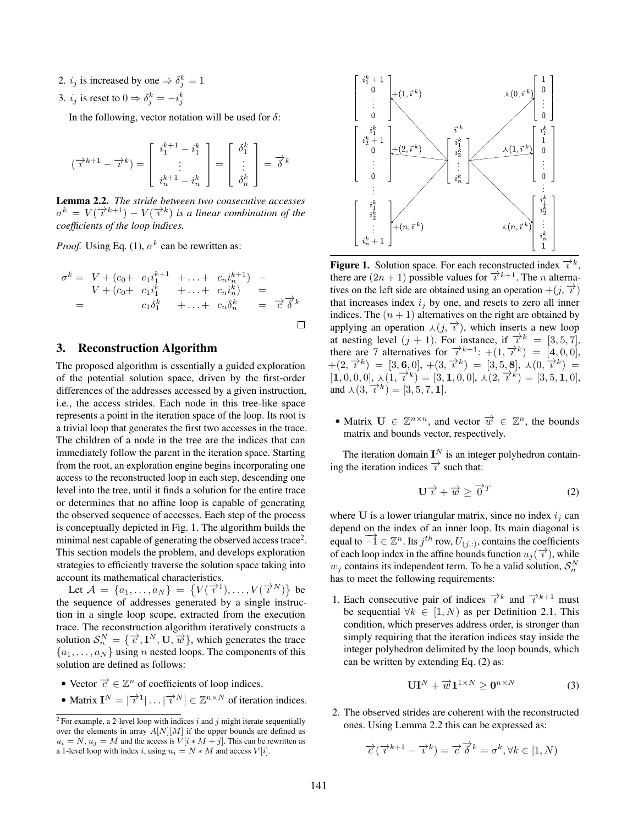2.  $i_j$  is increased by one  $\Rightarrow \delta_j^k = 1$ 

3. 
$$
i_j
$$
 is reset to  $0 \Rightarrow \delta_j^k = -i_j^k$ 

In the following, vector notation will be used for  $\delta$ :

$$
(\overrightarrow{\imath}^{k+1} - \overrightarrow{\imath}^k) = \begin{bmatrix} i_1^{k+1} - i_1^k \\ \vdots \\ i_n^{k+1} - i_n^k \end{bmatrix} = \begin{bmatrix} \delta_1^k \\ \vdots \\ \delta_n^k \end{bmatrix} = \overrightarrow{\delta}^k
$$

<span id="page-2-4"></span>Lemma 2.2. *The stride between two consecutive accesses*  $\sigma^k = V(\vec{\tau}^{k+1}) - V(\vec{\tau}^k)$  is a linear combination of the *coefficients of the loop indices.*

*Proof.* Using Eq. [\(1\)](#page-1-1),  $\sigma^k$  can be rewritten as:

$$
\sigma^{k} = V + (c_{0} + c_{1}i_{1}^{k+1} + \ldots + c_{n}i_{n}^{k+1}) - V + (c_{0} + c_{1}i_{1}^{k} + \ldots + c_{n}i_{n}^{k}) =
$$
  
=  $c_{1}\delta_{1}^{k} + \ldots + c_{n}\delta_{n}^{k} = \overrightarrow{c}\delta^{k}$ 

# <span id="page-2-0"></span>3. Reconstruction Algorithm

The proposed algorithm is essentially a guided exploration of the potential solution space, driven by the first-order differences of the addresses accessed by a given instruction, i.e., the access strides. Each node in this tree-like space represents a point in the iteration space of the loop. Its root is a trivial loop that generates the first two accesses in the trace. The children of a node in the tree are the indices that can immediately follow the parent in the iteration space. Starting from the root, an exploration engine begins incorporating one access to the reconstructed loop in each step, descending one level into the tree, until it finds a solution for the entire trace or determines that no affine loop is capable of generating the observed sequence of accesses. Each step of the process is conceptually depicted in Fig. [1.](#page-2-1) The algorithm builds the minimal nest capable of generating the observed access trace<sup>[2](#page-2-2)</sup>. This section models the problem, and develops exploration strategies to efficiently traverse the solution space taking into account its mathematical characteristics.

Let  $A = \{a_1, \ldots, a_N\} = \{V(\vec{a}^1), \ldots, V(\vec{a}^N)\}\)$ the sequence of addresses generated by a single instruction in a single loop scope, extracted from the execution trace. The reconstruction algorithm iteratively constructs a solution  $S_n^N = \{ \overrightarrow{c}, \mathbf{I}^N, \mathbf{U}, \overrightarrow{w} \}$ , which generates the trace  ${a_1, \ldots, a_N}$  using *n* nested loops. The components of this solution are defined as follows:

- Vector  $\overrightarrow{c} \in \mathbb{Z}^n$  of coefficients of loop indices.
- Matrix  $\mathbf{I}^{N} = \begin{bmatrix} \vec{\tau}^{1} | \dots | \vec{\tau}^{N} \end{bmatrix} \in \mathbb{Z}^{n \times N}$  of iteration indices.



<span id="page-2-1"></span>**Figure 1.** Solution space. For each reconstructed index  $\overrightarrow{i}$ <sup>k</sup>, there are  $(2n + 1)$  possible values for  $\overline{i}^{k+1}$ . The *n* alternatives on the left side are obtained using an operation  $+(j, \overrightarrow{i})$ that increases index  $i_j$  by one, and resets to zero all inner indices. The  $(n + 1)$  alternatives on the right are obtained by applying an operation  $\lambda(j, \overrightarrow{i})$ , which inserts a new loop at nesting level  $(j + 1)$ . For instance, if  $\overline{i}^k = [3, 5, 7]$ , there are 7 alternatives for  $\overrightarrow{i}^{k+1}: + (1, \overrightarrow{i}^k) = [4, 0, 0],$  $+(2, \overrightarrow{i})^k = [3, 6, 0], +(3, \overrightarrow{i})^k = [3, 5, 8], \ \lambda(0, \overrightarrow{i})^k =$  $[1, 0, 0, 0], \lambda(1, \overrightarrow{t}^k) = [3, 1, 0, 0], \lambda(2, \overrightarrow{t}^k) = [3, 5, 1, 0],$ and  $\lambda(3, 7^k) = [3, 5, 7, 1].$ 

• Matrix  $\mathbf{U} \in \mathbb{Z}^{n \times n}$ , and vector  $\overrightarrow{w} \in \mathbb{Z}^{n}$ , the bounds matrix and bounds vector, respectively.

The iteration domain  $I<sup>N</sup>$  is an integer polyhedron containing the iteration indices  $\vec{\tau}$  such that:

<span id="page-2-3"></span>
$$
\mathbf{U}\overrightarrow{i} + \overrightarrow{w} \geq \overrightarrow{0}^{T} \tag{2}
$$

where U is a lower triangular matrix, since no index  $i_j$  can depend on the index of an inner loop. Its main diagonal is equal to  $-1 \in \mathbb{Z}^n$ . Its j<sup>th</sup> row,  $U_{(j,:)}$ , contains the coefficients of each loop index in the affine bounds function  $u_j(\vec{r})$ , while  $w_j$  contains its independent term. To be a valid solution,  $\mathcal{S}_n^N$ has to meet the following requirements:

1. Each consecutive pair of indices  $\vec{i}^k$  and  $\vec{i}^{k+1}$  must be sequential  $\forall k \in [1, N)$  as per Definition [2.1.](#page-1-2) This condition, which preserves address order, is stronger than simply requiring that the iteration indices stay inside the integer polyhedron delimited by the loop bounds, which can be written by extending Eq. [\(2\)](#page-2-3) as:

<span id="page-2-5"></span>
$$
\mathbf{UI}^{N} + \overrightarrow{w} \mathbf{1}^{1 \times N} \geq \mathbf{0}^{n \times N}
$$
 (3)

2. The observed strides are coherent with the reconstructed ones. Using Lemma [2.2](#page-2-4) this can be expressed as:

$$
\overrightarrow{c}(\overrightarrow{i^{k+1}} - \overrightarrow{i^{k}}) = \overrightarrow{c} \overrightarrow{\delta}^{k} = \sigma^{k}, \forall k \in [1, N)
$$

<span id="page-2-2"></span><sup>&</sup>lt;sup>2</sup> For example, a 2-level loop with indices  $i$  and  $j$  might iterate sequentially over the elements in array  $A[N][M]$  if the upper bounds are defined as  $u_i = N$ ,  $u_j = M$  and the access is  $V[i * M + j]$ . This can be rewritten as a 1-level loop with index i, using  $u_i = N * M$  and access  $V[i]$ .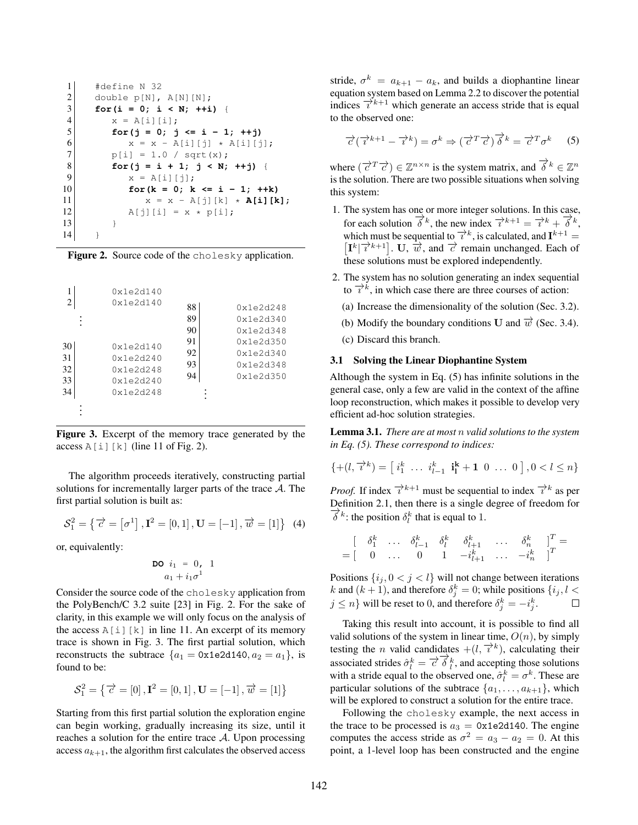```
1 #define N 32
2 double p[N], A[N][N];<br>3 for(i = 0; i < N; ++i
      for(i = 0; i < N; ++i)4 x = A[i][i];5 for(j = 0; j \le i - 1; ++j)
6 x = x - A[i][j] \cdot A[i][j];<br>D[i] = 1.0 / \text{sort}(x);p[i] = 1.0 / sqrt(x);8 for(j = i + 1; j < N; ++j) {<br> x = A[i][j];x = A[i][j];10 for(k = 0; k \le i - 1; +k)
11 x = x - A[j][k] \cdot A[i][k];<br>12 A[j][i] = x * p[i];A[j][i] = x * p[i];13 }
14 }
```
<span id="page-3-1"></span><span id="page-3-0"></span>Figure 2. Source code of the cholesky application.

|    | 0x1e2d140 |    |           |
|----|-----------|----|-----------|
| 2  | 0x1e2d140 | 88 | 0x1e2d248 |
|    |           | 89 | 0x1e2d340 |
|    |           | 90 | 0x1e2d348 |
| 30 | 0x1e2d140 | 91 | 0x1e2d350 |
| 31 | 0x1e2d240 | 92 | 0x1e2d340 |
| 32 | 0x1e2d248 | 93 | 0x1e2d348 |
| 33 | 0x1e2d240 | 94 | 0x1e2d350 |
| 34 | 0x1e2d248 |    |           |
|    |           |    |           |

<span id="page-3-2"></span>Figure 3. Excerpt of the memory trace generated by the access  $A[i][k]$  (line [11](#page-3-0) of Fig. [2\)](#page-3-1).

The algorithm proceeds iteratively, constructing partial solutions for incrementally larger parts of the trace  $A$ . The first partial solution is built as:

$$
\mathcal{S}_1^2 = \left\{ \overrightarrow{c} = \left[ \sigma^1 \right], \mathbf{I}^2 = \left[ 0, 1 \right], \mathbf{U} = \left[ -1 \right], \overrightarrow{w} = \left[ 1 \right] \right\}
$$
 (4)

or, equivalently:

<span id="page-3-5"></span>
$$
\begin{array}{cc}\n\text{DO} & i_1 = 0, 1 \\
a_1 + i_1 \sigma^1\n\end{array}
$$

Consider the source code of the cholesky application from the PolyBench/C 3.2 suite [\[23\]](#page-10-9) in Fig. [2.](#page-3-1) For the sake of clarity, in this example we will only focus on the analysis of the access  $A[i][k]$  in line [11.](#page-3-0) An excerpt of its memory trace is shown in Fig. [3.](#page-3-2) The first partial solution, which reconstructs the subtrace  $\{a_1 = 0 \times 1e^{2d} \cdot 140, a_2 = a_1\}$ , is found to be:

$$
\mathcal{S}_1^2 = \left\{ \overrightarrow{c} = \left[0\right], \mathbf{I}^2 = \left[0,1\right], \mathbf{U} = \left[-1\right], \overrightarrow{w} = \left[1\right] \right\}
$$

Starting from this first partial solution the exploration engine can begin working, gradually increasing its size, until it reaches a solution for the entire trace  $A$ . Upon processing access  $a_{k+1}$ , the algorithm first calculates the observed access

stride,  $\sigma^k = a_{k+1} - a_k$ , and builds a diophantine linear equation system based on Lemma [2.2](#page-2-4) to discover the potential indices  $\frac{1}{l}k+1$  which generate an access stride that is equal to the observed one:

<span id="page-3-3"></span>
$$
\vec{c}(\vec{v}^{k+1} - \vec{v}^k) = \sigma^k \Rightarrow (\vec{c}^T \vec{c}) \vec{\delta}^k = \vec{c}^T \sigma^k \quad (5)
$$

where  $(\overrightarrow{c}^T \overrightarrow{c}) \in \mathbb{Z}^{n \times n}$  is the system matrix, and  $\overrightarrow{\delta}^k \in \mathbb{Z}^n$ is the solution. There are two possible situations when solving this system:

- 1. The system has one or more integer solutions. In this case, for each solution  $\vec{\delta}^k$ , the new index  $\vec{\delta}^{k+1} = \vec{\delta}^k + \vec{\delta}^k$ , which must be sequential to  $\overrightarrow{a}^k$ , is calculated, and  $I^{k+1}$  =  $\left[\mathbf{I}^{k}|\overrightarrow{i}^{k+1}\right]$ . U,  $\overrightarrow{w}$ , and  $\overrightarrow{c}$  remain unchanged. Each of these solutions must be explored independently.
- 2. The system has no solution generating an index sequential to  $\overrightarrow{i}^k$ , in which case there are three courses of action:
	- (a) Increase the dimensionality of the solution (Sec. [3.2\)](#page-4-0).
	- (b) Modify the boundary conditions U and  $\vec{w}$  (Sec. [3.4\)](#page-5-0).
- (c) Discard this branch.

#### <span id="page-3-4"></span>3.1 Solving the Linear Diophantine System

Although the system in Eq. [\(5\)](#page-3-3) has infinite solutions in the general case, only a few are valid in the context of the affine loop reconstruction, which makes it possible to develop very efficient ad-hoc solution strategies.

Lemma 3.1. *There are at most* n *valid solutions to the system in Eq. [\(5\)](#page-3-3). These correspond to indices:*

$$
\{+(l, \overrightarrow{i}^k) = [i_1^k \ \ldots \ i_{l-1}^k \ i_l^k + 1 \ 0 \ \ldots \ 0], 0 < l \leq n\}
$$

*Proof.* If index  $\overrightarrow{i}^{k+1}$  must be sequential to index  $\overrightarrow{i}^k$  as per Definition [2.1,](#page-1-2) then there is a single degree of freedom for  $\overrightarrow{\delta}^k$ : the position  $\delta_l^k$  that is equal to 1.

$$
= \left[\begin{array}{cccccc}\delta_1^k & \ldots & \delta_{l-1}^k & \delta_l^k & \delta_{l+1}^k & \ldots & \delta_n^k\\ = & 0 & \ldots & 0 & 1 & -i_{l+1}^k & \ldots & -i_n^k\end{array}\right]^T =
$$

Positions  $\{i_j, 0 < j < l\}$  will not change between iterations k and  $(k+1)$ , and therefore  $\delta_j^k = 0$ ; while positions  $\{i_j, l \leq j \}$  $j \leq n$ } will be reset to 0, and therefore  $\delta_j^k = -i_j^k$ .  $\Box$ 

Taking this result into account, it is possible to find all valid solutions of the system in linear time,  $O(n)$ , by simply testing the *n* valid candidates  $+(l, \overrightarrow{i}^k)$ , calculating their associated strides  $\hat{\sigma}_k^k = \vec{\sigma} \, \vec{\delta}_k^k$ , and accepting those solutions with a stride equal to the observed one,  $\hat{\sigma}_l^k = \sigma^k$ . These are particular solutions of the subtrace  $\{a_1, \ldots, a_{k+1}\}\$ , which will be explored to construct a solution for the entire trace.

Following the cholesky example, the next access in the trace to be processed is  $a_3 = 0x1e2d140$ . The engine computes the access stride as  $\sigma^2 = a_3 - a_2 = 0$ . At this point, a 1-level loop has been constructed and the engine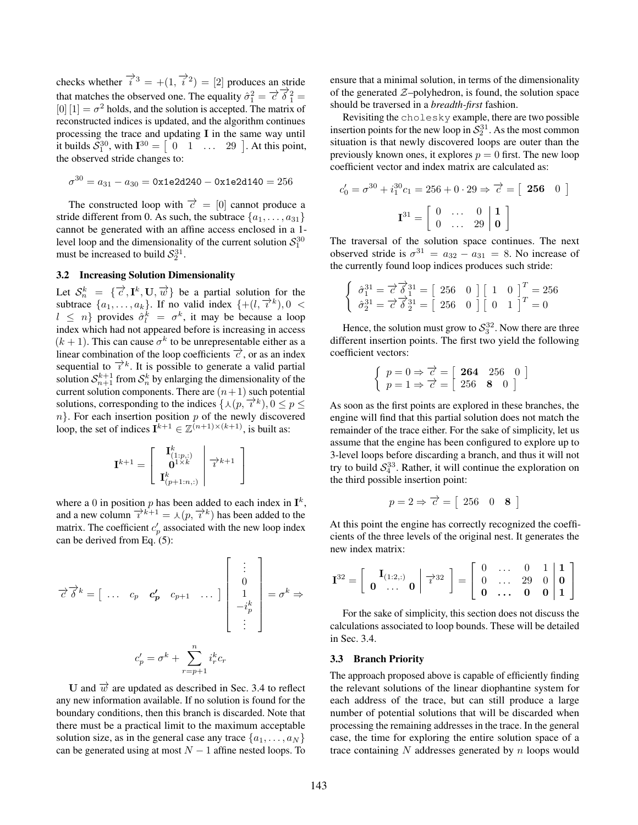checks whether  $\overrightarrow{i}^3 = +(1, \overrightarrow{i}^2) = [2]$  produces an stride that matches the observed one. The equality  $\hat{\sigma}_1^2 = \vec{\sigma} \vec{\delta}_1^2 =$ [0]  $[1] = \sigma^2$  holds, and the solution is accepted. The matrix of reconstructed indices is updated, and the algorithm continues processing the trace and updating I in the same way until it builds  $S_1^{30}$ , with  $I^{30} = \begin{bmatrix} 0 & 1 & \dots & 29 \end{bmatrix}$ . At this point, the observed stride changes to:

$$
\sigma^{30} = a_{31} - a_{30} = \texttt{0x1e2d240} - \texttt{0x1e2d140} = 256
$$

The constructed loop with  $\vec{c} = [0]$  cannot produce a stride different from 0. As such, the subtrace  $\{a_1, \ldots, a_{31}\}\$ cannot be generated with an affine access enclosed in a 1 level loop and the dimensionality of the current solution  $S_1^{30}$ must be increased to build  $S_2^{31}$ .

#### <span id="page-4-0"></span>3.2 Increasing Solution Dimensionality

Let  $S_n^k = {\overrightarrow{c}, \mathbf{I}^k, \mathbf{U}, \overrightarrow{w}}$  be a partial solution for the subtrace  $\{a_1, \ldots, a_k\}$ . If no valid index  $\{+(l, \vec{i}^k), 0\}$  $l \leq n$ } provides  $\hat{\sigma}_l^k = \sigma^k$ , it may be because a loop index which had not appeared before is increasing in access  $(k + 1)$ . This can cause  $\sigma^k$  to be unrepresentable either as a linear combination of the loop coefficients  $\vec{c}$ , or as an index sequential to  $\overrightarrow{i}^k$ . It is possible to generate a valid partial solution  $S_{n+1}^{k+1}$  from  $S_n^k$  by enlarging the dimensionality of the current solution components. There are  $(n+1)$  such potential solutions, corresponding to the indices  $\{\lambda(p, \vec{\tau}^k), 0 \leq p \leq \vec{\tau}\}$  $n$ }. For each insertion position  $p$  of the newly discovered loop, the set of indices  $\overline{\mathbf{I}}^{k+1} \in \mathbb{Z}^{(n+1)\times (k+1)}$ , is built as:

$$
\mathbf{I}^{k+1} = \left[ \begin{array}{c|c} \mathbf{I}^k_{(1:p,:)} & \\\mathbf{0}^{1 \times k} & \hline \mathbf{1}^k_{(p+1:n,:)} \end{array} \right] \overrightarrow{\imath}^{k+1} \ \, \right]
$$

where a 0 in position p has been added to each index in  $I^k$ , and a new column  $\overline{\tau}^{k+1} = \lambda (p, \overline{\tau}^k)$  has been added to the matrix. The coefficient  $c_p$  associated with the new loop index can be derived from Eq. [\(5\)](#page-3-3):

$$
\overrightarrow{c} \overrightarrow{\delta}^{k} = \begin{bmatrix} \dots & c_{p} & c'_{p} & c_{p+1} & \dots \end{bmatrix} \begin{bmatrix} \vdots \\ 0 \\ 1 \\ -i_{p}^{k} \\ \vdots \end{bmatrix} = \sigma^{k} \Rightarrow
$$

$$
c'_{p} = \sigma^{k} + \sum_{r=p+1}^{n} i_{r}^{k} c_{r}
$$

U and  $\vec{w}$  are updated as described in Sec. [3.4](#page-5-0) to reflect any new information available. If no solution is found for the boundary conditions, then this branch is discarded. Note that there must be a practical limit to the maximum acceptable solution size, as in the general case any trace  $\{a_1, \ldots, a_N\}$ can be generated using at most  $N - 1$  affine nested loops. To ensure that a minimal solution, in terms of the dimensionality of the generated  $Z$ –polyhedron, is found, the solution space should be traversed in a *breadth-first* fashion.

Revisiting the cholesky example, there are two possible insertion points for the new loop in  $S_2^{31}$ . As the most common situation is that newly discovered loops are outer than the previously known ones, it explores  $p = 0$  first. The new loop coefficient vector and index matrix are calculated as:

$$
c'_0 = \sigma^{30} + i_1^{30} c_1 = 256 + 0 \cdot 29 \Rightarrow \overrightarrow{c} = \begin{bmatrix} 256 & 0 \end{bmatrix}
$$

$$
\mathbf{I}^{31} = \begin{bmatrix} 0 & \cdots & 0 \\ 0 & \cdots & 29 \end{bmatrix} \begin{bmatrix} 1 \\ 0 \end{bmatrix}
$$

The traversal of the solution space continues. The next observed stride is  $\sigma^{31} = a_{32} - a_{31} = 8$ . No increase of the currently found loop indices produces such stride:

$$
\begin{cases} \n\hat{\sigma}_1^{31} = \overrightarrow{c} \overrightarrow{\delta}_1^{31} = \begin{bmatrix} 256 & 0 \end{bmatrix} \begin{bmatrix} 1 & 0 \end{bmatrix}^T = 256 \\ \n\hat{\sigma}_2^{31} = \overrightarrow{c} \overrightarrow{\delta}_2^{31} = \begin{bmatrix} 256 & 0 \end{bmatrix} \begin{bmatrix} 0 & 1 \end{bmatrix}^T = 0 \n\end{cases}
$$

Hence, the solution must grow to  $S_3^{32}$ . Now there are three different insertion points. The first two yield the following coefficient vectors:

$$
\left\{\n\begin{array}{c}\np = 0 \Rightarrow \overrightarrow{c} = \left[\n264 \quad 256 \quad 0\n\end{array}\n\right]\n\right.
$$
\n
$$
p = 1 \Rightarrow \overrightarrow{c} = \left[\n256 \quad 8 \quad 0\n\right]
$$

As soon as the first points are explored in these branches, the engine will find that this partial solution does not match the remainder of the trace either. For the sake of simplicity, let us assume that the engine has been configured to explore up to 3-level loops before discarding a branch, and thus it will not try to build  $S_4^{33}$ . Rather, it will continue the exploration on the third possible insertion point:

$$
p = 2 \Rightarrow \overrightarrow{c} = \left[ \begin{array}{cc} 256 & 0 & \mathbf{8} \end{array} \right]
$$

At this point the engine has correctly recognized the coefficients of the three levels of the original nest. It generates the new index matrix:

$$
\mathbf{I}^{32} = \left[ \begin{array}{ccc} \mathbf{I}_{(1:2,:)} \\ \mathbf{0} \end{array} \right] \left[ \begin{array}{ccc} \overrightarrow{\mathbf{I}}^{32} \\ \overrightarrow{\mathbf{I}}^{32} \end{array} \right] = \left[ \begin{array}{ccc} 0 & \dots & 0 & 1 \\ 0 & \dots & 29 & 0 \\ \mathbf{0} & \dots & \mathbf{0} & \mathbf{0} \end{array} \right] \left[ \begin{array}{ccc} \mathbf{I} \\ \mathbf{0} \\ \mathbf{I} \end{array} \right]
$$

For the sake of simplicity, this section does not discuss the calculations associated to loop bounds. These will be detailed in Sec. [3.4.](#page-5-0)

#### <span id="page-4-1"></span>3.3 Branch Priority

The approach proposed above is capable of efficiently finding the relevant solutions of the linear diophantine system for each address of the trace, but can still produce a large number of potential solutions that will be discarded when processing the remaining addresses in the trace. In the general case, the time for exploring the entire solution space of a trace containing  $N$  addresses generated by  $n$  loops would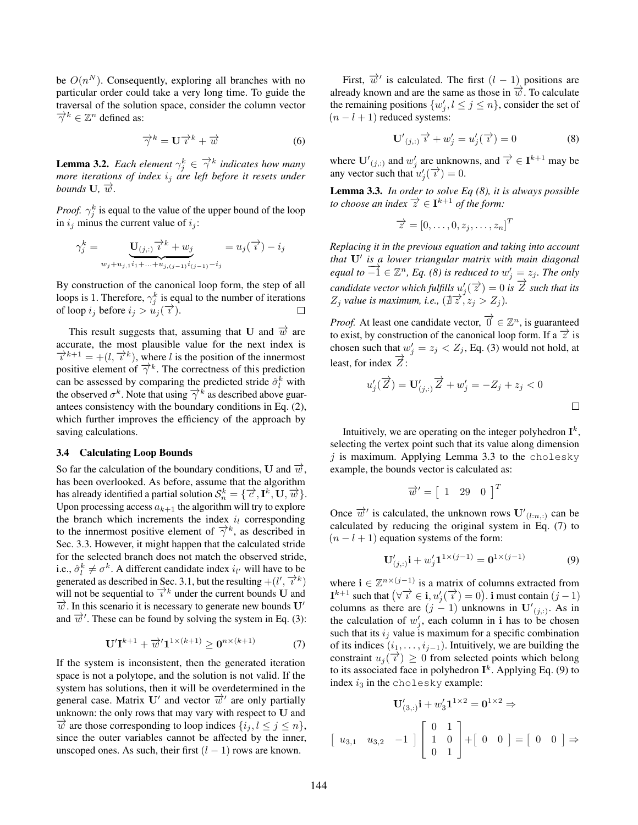be  $O(n^N)$ . Consequently, exploring all branches with no particular order could take a very long time. To guide the traversal of the solution space, consider the column vector  $\overrightarrow{\gamma}^k \in \mathbb{Z}^n$  defined as:

$$
\overrightarrow{\gamma}^k = \mathbf{U} \overrightarrow{v}^k + \overrightarrow{w}
$$
 (6)

**Lemma 3.2.** Each element  $\gamma_j^k \in \overrightarrow{\gamma}^k$  indicates how many *more iterations of index*  $i_j$  *are left before it resets under*  $bounds$ **U**,  $\vec{w}$ .

*Proof.*  $\gamma_j^k$  is equal to the value of the upper bound of the loop in  $i_j$  minus the current value of  $i_j$ :

$$
\gamma_j^k = \underbrace{\mathbf{U}_{(j,:)}\overrightarrow{\iota}^k + w_j}_{w_j + u_{j,1}i_1 + \ldots + u_{j,(j-1)}i_{(j-1)} - i_j} = u_j(\overrightarrow{\iota}) - i_j
$$

By construction of the canonical loop form, the step of all loops is 1. Therefore,  $\gamma_j^k$  is equal to the number of iterations of loop  $i_j$  before  $i_j > u_j(\vec{\tau})$ .  $\Box$ 

This result suggests that, assuming that U and  $\vec{w}$  are accurate, the most plausible value for the next index is  $\overrightarrow{i}^{k+1} = +(l, \overrightarrow{i}^k)$ , where l is the position of the innermost positive element of  $\overline{\gamma}^k$ . The correctness of this prediction can be assessed by comparing the predicted stride  $\hat{\sigma}_l^k$  with the observed  $\sigma^k$ . Note that using  $\overline{\gamma}^k$  as described above guarantees consistency with the boundary conditions in Eq. [\(2\)](#page-2-3), which further improves the efficiency of the approach by saving calculations.

#### <span id="page-5-0"></span>3.4 Calculating Loop Bounds

So far the calculation of the boundary conditions, U and  $\vec{w}$ , has been overlooked. As before, assume that the algorithm has already identified a partial solution  $S_n^k = \{ \vec{c}, \vec{l}^k, \vec{U}, \vec{w} \}.$ Upon processing access  $a_{k+1}$  the algorithm will try to explore the branch which increments the index  $i_l$  corresponding to the innermost positive element of  $\overrightarrow{\gamma}^k$ , as described in Sec. [3.3.](#page-4-1) However, it might happen that the calculated stride for the selected branch does not match the observed stride, i.e.,  $\hat{\sigma}_l^k \neq \sigma^k$ . A different candidate index  $i_{l'}$  will have to be generated as described in Sec. [3.1,](#page-3-4) but the resulting  $+(l', \vec{\tau}^k)$ will not be sequential to  $\overrightarrow{i}^k$  under the current bounds **U** and  $\vec{w}$ . In this scenario it is necessary to generate new bounds U' and  $\vec{w}'$ . These can be found by solving the system in Eq. [\(3\)](#page-2-5):

$$
\mathbf{U}'\mathbf{I}^{k+1} + \overrightarrow{w}'\mathbf{1}^{1 \times (k+1)} \ge \mathbf{0}^{n \times (k+1)} \tag{7}
$$

<span id="page-5-3"></span>If the system is inconsistent, then the generated iteration space is not a polytope, and the solution is not valid. If the system has solutions, then it will be overdetermined in the general case. Matrix U' and vector  $\overrightarrow{w}$ ' are only partially unknown: the only rows that may vary with respect to U and  $\overline{\omega}$  are those corresponding to loop indices  $\{i_j, l \leq j \leq n\},$ since the outer variables cannot be affected by the inner, unscoped ones. As such, their first  $(l - 1)$  rows are known.

First,  $\vec{w}'$  is calculated. The first  $(l - 1)$  positions are already known and are the same as those in  $\vec{w}$ . To calculate the remaining positions  $\{w'_j, l \leq j \leq n\}$ , consider the set of  $(n - l + 1)$  reduced systems:

<span id="page-5-1"></span>
$$
\mathbf{U'}_{(j,:)}\overrightarrow{i} + w'_j = u'_j(\overrightarrow{i}) = 0 \tag{8}
$$

where  $\mathbf{U'}_{(j,:)}$  and  $w'_j$  are unknowns, and  $\overrightarrow{i} \in \mathbf{I}^{k+1}$  may be any vector such that  $u'_j(\vec{v}) = 0$ .

<span id="page-5-2"></span>Lemma 3.3. *In order to solve Eq [\(8\)](#page-5-1), it is always possible to choose an index*  $\overrightarrow{z} \in I^{k+1}$  *of the form:* 

$$
\overrightarrow{z} = [0, \ldots, 0, z_j, \ldots, z_n]^T
$$

*Replacing it in the previous equation and taking into account* that U' is a lower triangular matrix with main diagonal *equal to*  $-\vec{1} \in \mathbb{Z}^n$ , *Eq.* [\(8\)](#page-5-1) *is reduced to*  $w'_j = z_j$ . *The only candidate vector which fulfills*  $u'_j(\vec{z}) = 0$  *is*  $\vec{Z}$  *such that its*  $Z_j$  value is maximum, i.e.,  $(\nexists \overrightarrow{z}, z_j > Z_j)$ .

*Proof.* At least one candidate vector,  $\overrightarrow{0} \in \mathbb{Z}^n$ , is guaranteed to exist, by construction of the canonical loop form. If a  $\vec{z}$  is chosen such that  $w'_j = z_j < Z_j$ , Eq. [\(3\)](#page-2-5) would not hold, at least, for index  $\overrightarrow{Z}$ :

$$
u_j'(\overrightarrow{Z}) = \mathbf{U}'_{(j,:)}\overrightarrow{Z} + w_j' = -Z_j + z_j < 0
$$

Intuitively, we are operating on the integer polyhedron  $I^k$ , selecting the vertex point such that its value along dimension  $j$  is maximum. Applying Lemma [3.3](#page-5-2) to the cholesky example, the bounds vector is calculated as:

<span id="page-5-4"></span>
$$
\overrightarrow{w}' = \begin{bmatrix} 1 & 29 & 0 \end{bmatrix}^T
$$

Once  $\overrightarrow{w}'$  is calculated, the unknown rows  $\mathbf{U}'_{(l:n,:)}$  can be calculated by reducing the original system in Eq. [\(7\)](#page-5-3) to  $(n - l + 1)$  equation systems of the form:

$$
\mathbf{U}'_{(j,:)}\mathbf{i} + w'_j \mathbf{1}^{\mathbf{1} \times (j-1)} = \mathbf{0}^{\mathbf{1} \times (j-1)}
$$
(9)

where  $\mathbf{i} \in \mathbb{Z}^{n \times (j-1)}$  is a matrix of columns extracted from  $\mathbf{I}^{k+1}$  such that  $(\forall \vec{\tau} \in \mathbf{i}, u'_j(\vec{\tau}) = 0)$ . i must contain  $(j-1)$ columns as there are  $(j - 1)$  unknowns in  $\mathbf{U}'_{(j,:)}$ . As in the calculation of  $w'_j$ , each column in i has to be chosen such that its  $i_j$  value is maximum for a specific combination of its indices  $(i_1, \ldots, i_{j-1})$ . Intuitively, we are building the constraint  $u_j(\vec{r}) \ge 0$  from selected points which belong to its associated face in polyhedron  $I^k$ . Applying Eq. [\(9\)](#page-5-4) to index  $i_3$  in the cholesky example:

$$
\mathbf{U}'_{(3,:)}\mathbf{i} + w'_3 \mathbf{1}^{1 \times 2} = \mathbf{0}^{1 \times 2} \Rightarrow
$$
  
\n
$$
\begin{bmatrix} u_{3,1} & u_{3,2} & -1 \end{bmatrix} \begin{bmatrix} 0 & 1 \\ 1 & 0 \\ 0 & 1 \end{bmatrix} + \begin{bmatrix} 0 & 0 \end{bmatrix} = \begin{bmatrix} 0 & 0 \end{bmatrix} \Rightarrow
$$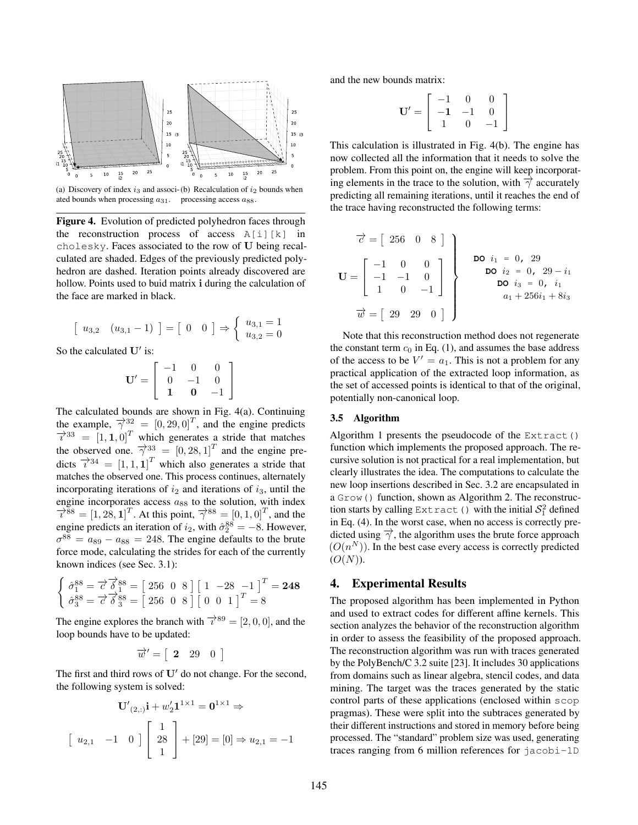<span id="page-6-1"></span>

<span id="page-6-2"></span>(a) Discovery of index  $i_3$  and associ-(b) Recalculation of  $i_2$  bounds when ated bounds when processing  $a_{31}$ . processing access  $a_{88}$ .

Figure 4. Evolution of predicted polyhedron faces through the reconstruction process of access A[i][k] in cholesky. Faces associated to the row of U being recalculated are shaded. Edges of the previously predicted polyhedron are dashed. Iteration points already discovered are hollow. Points used to buid matrix **i** during the calculation of the face are marked in black.

$$
\begin{bmatrix} u_{3,2} & (u_{3,1} - 1) \end{bmatrix} = \begin{bmatrix} 0 & 0 \end{bmatrix} \Rightarrow \begin{cases} u_{3,1} = 1 \\ u_{3,2} = 0 \end{cases}
$$

So the calculated  $U'$  is:

$$
\mathbf{U}' = \left[ \begin{array}{ccc} -1 & 0 & 0 \\ 0 & -1 & 0 \\ 1 & 0 & -1 \end{array} \right]
$$

The calculated bounds are shown in Fig. [4\(a\).](#page-6-1) Continuing the example,  $\overrightarrow{\gamma}^{32} = [0, 29, 0]^T$ , and the engine predicts  $\vec{v}^{33}$  =  $\begin{bmatrix} 1, 1, 0 \end{bmatrix}^T$  which generates a stride that matches the observed one.  $\overrightarrow{\gamma}^{33} = [0, 28, 1]^T$  and the engine predicts  $\vec{\tau}^{34} = [1, 1, 1]^T$  which also generates a stride that matches the observed one. This process continues, alternately incorporating iterations of  $i_2$  and iterations of  $i_3$ , until the engine incorporates access  $a_{88}$  to the solution, with index  $\overrightarrow{i}^{88} = [1, 28, 1]^T$ . At this point,  $\overrightarrow{\gamma}^{88} = [0, 1, 0]^T$ , and the engine predicts an iteration of  $i_2$ , with  $\hat{\sigma}_2^{88} = -8$ . However,  $\sigma^{88} = a_{89} - a_{88} = 248$ . The engine defaults to the brute force mode, calculating the strides for each of the currently known indices (see Sec. [3.1\)](#page-3-4):

$$
\begin{cases} \n\hat{\sigma}_1^{88} = \vec{\sigma} \, \overrightarrow{\delta}_1^{88} = \n\begin{bmatrix} 256 & 0 & 8 \end{bmatrix} \begin{bmatrix} 1 & -28 & -1 \end{bmatrix}^T = 248 \\
\hat{\sigma}_3^{88} = \vec{\sigma} \, \overrightarrow{\delta}_3^{88} = \begin{bmatrix} 256 & 0 & 8 \end{bmatrix} \begin{bmatrix} 0 & 0 & 1 \end{bmatrix}^T = 8\n\end{cases}
$$

The engine explores the branch with  $\overrightarrow{v}^{89} = [2, 0, 0]$ , and the loop bounds have to be updated:

$$
\overrightarrow{w}' = \left[ \begin{array}{cc} 2 & 29 & 0 \end{array} \right]
$$

The first and third rows of  $U'$  do not change. For the second, the following system is solved:

$$
\mathbf{U'}_{(2,:)}\mathbf{i} + w'_2 \mathbf{1}^{1 \times 1} = \mathbf{0}^{1 \times 1} \Rightarrow
$$
\n
$$
\begin{bmatrix} u_{2,1} & -1 & 0 \end{bmatrix} \begin{bmatrix} 1 \\ 28 \\ 1 \end{bmatrix} + [29] = [0] \Rightarrow u_{2,1} = -1
$$

and the new bounds matrix:

$$
\mathbf{U}' = \left[ \begin{array}{ccc} -1 & 0 & 0 \\ -1 & -1 & 0 \\ 1 & 0 & -1 \end{array} \right]
$$

This calculation is illustrated in Fig. [4\(b\).](#page-6-2) The engine has now collected all the information that it needs to solve the problem. From this point on, the engine will keep incorporating elements in the trace to the solution, with  $\overrightarrow{\gamma}$  accurately predicting all remaining iterations, until it reaches the end of the trace having reconstructed the following terms:

$$
\overrightarrow{c} = \begin{bmatrix} 256 & 0 & 8 \end{bmatrix}
$$
  
\n
$$
\mathbf{U} = \begin{bmatrix} -1 & 0 & 0 \\ -1 & -1 & 0 \\ 1 & 0 & -1 \end{bmatrix}
$$
  
\n
$$
\overrightarrow{D} = \begin{bmatrix} 29 & 29 & 0 \end{bmatrix}
$$
  
\n
$$
\mathbf{D} = \begin{bmatrix} 29 & 29 & 0 \end{bmatrix}
$$
  
\n
$$
\mathbf{D} = \begin{bmatrix} 29 & 29 & 0 \end{bmatrix}
$$
  
\n
$$
\mathbf{D} = \begin{bmatrix} 29 & 29 & 0 \end{bmatrix}
$$

Note that this reconstruction method does not regenerate the constant term  $c_0$  in Eq. [\(1\)](#page-1-1), and assumes the base address of the access to be  $V' = a_1$ . This is not a problem for any practical application of the extracted loop information, as the set of accessed points is identical to that of the original, potentially non-canonical loop.

## 3.5 Algorithm

Algorithm [1](#page-7-0) presents the pseudocode of the Extract() function which implements the proposed approach. The recursive solution is not practical for a real implementation, but clearly illustrates the idea. The computations to calculate the new loop insertions described in Sec. [3.2](#page-4-0) are encapsulated in a Grow() function, shown as Algorithm [2.](#page-7-1) The reconstruction starts by calling Extract () with the initial  $S_1^2$  defined in Eq. [\(4\)](#page-3-5). In the worst case, when no access is correctly predicted using  $\overrightarrow{\gamma}$ , the algorithm uses the brute force approach  $(O(n^N))$ . In the best case every access is correctly predicted  $(O(N)).$ 

# <span id="page-6-0"></span>4. Experimental Results

The proposed algorithm has been implemented in Python and used to extract codes for different affine kernels. This section analyzes the behavior of the reconstruction algorithm in order to assess the feasibility of the proposed approach. The reconstruction algorithm was run with traces generated by the PolyBench/C 3.2 suite [\[23\]](#page-10-9). It includes 30 applications from domains such as linear algebra, stencil codes, and data mining. The target was the traces generated by the static control parts of these applications (enclosed within scop pragmas). These were split into the subtraces generated by their different instructions and stored in memory before being processed. The "standard" problem size was used, generating traces ranging from 6 million references for jacobi-1D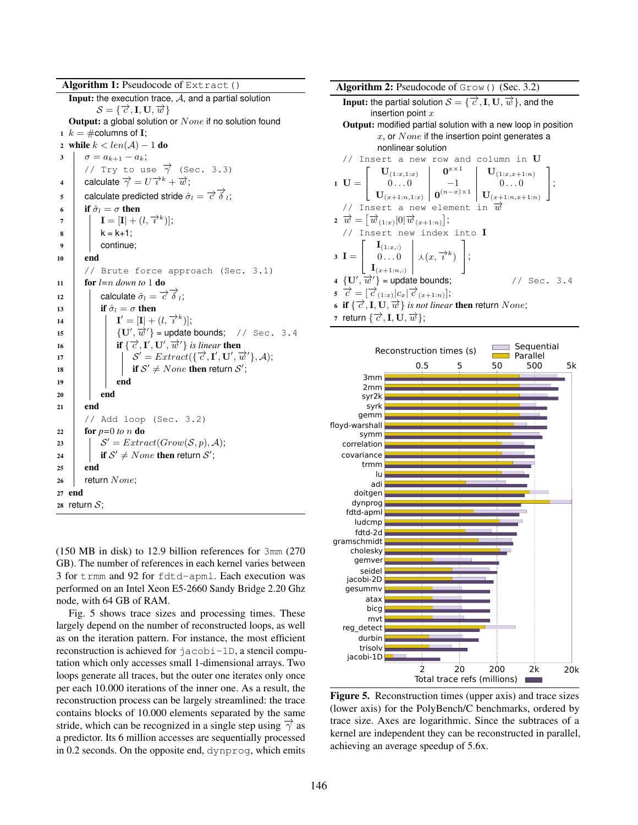Algorithm 1: Pseudocode of Extract() **Input:** the execution trace,  $A$ , and a partial solution  $\mathcal{S} = \{ \overrightarrow{c}, \mathbf{I}, \mathbf{U}, \overrightarrow{w} \}$ Output: a global solution or None if no solution found 1  $k = \text{\#columns of I};$ 2 while  $k < len(A) - 1$  do 3  $\sigma = a_{k+1} - a_k;$ // Try to use  $\overrightarrow{\gamma}$  (Sec. [3.3\)](#page-4-1) 4 calculate  $\overrightarrow{\gamma} = U \overrightarrow{v}^k + \overrightarrow{w}$ ;  $\mathsf{S}$  calculate predicted stride  $\hat{\sigma}_l = \vec{c} \overrightarrow{\delta}_l;$ 6 if  $\hat{\sigma}_l = \sigma$  then  $\mathbf{I} = [\mathbf{I}] + (l, \overrightarrow{\mathbf{v}}^k)$ ;  $8$  | |  $k = k+1$ ; 9 continue; <sup>10</sup> end // Brute force approach (Sec. [3.1\)](#page-3-4) <sup>11</sup> for *l=*n *down to* 1 do 12 calculate  $\hat{\sigma}_l = \vec{\tau} \vec{\delta}_l$ ; 13 if  $\hat{\sigma}_l = \sigma$  then 14  $\mathbf{I}' = [\mathbf{I}] + (l, \overrightarrow{i}^k)];$ 15  $\left| \begin{array}{c} | \end{array} \right|$   $\left\{ \mathbf{U}', \overrightarrow{w}' \right\}$  = update bounds; // Sec. [3.4](#page-5-0) 16 **if**  $\{\overrightarrow{c}, I', U', \overrightarrow{w}'\}$  is linear then 17  $\vert \vert \vert$   $\vert$   $\delta$  $\mathcal{O}' = Extract(\{\vec{c}, \mathbf{I}', \mathbf{U}', \vec{w}'\}, \mathcal{A});$ 18  $\Box$  if  $S' \neq None$  then return  $S'$ ; 19 | end  $20$  end  $21$  end // Add loop (Sec. [3.2\)](#page-4-0) 22 **for**  $p=0$  *to n* **do** 23 |  $S' = Extract(Grow(S, p), A);$ 24 if  $\mathcal{S}'\neq None$  then return  $\mathcal{S}';$ <sup>25</sup> end  $26$  return  $None;$ <sup>27</sup> end 28 return  $S$ ;

<span id="page-7-0"></span>(150 MB in disk) to 12.9 billion references for 3mm (270 GB). The number of references in each kernel varies between 3 for trmm and 92 for fdtd-apml. Each execution was performed on an Intel Xeon E5-2660 Sandy Bridge 2.20 Ghz node, with 64 GB of RAM.

Fig. [5](#page-7-2) shows trace sizes and processing times. These largely depend on the number of reconstructed loops, as well as on the iteration pattern. For instance, the most efficient reconstruction is achieved for jacobi-1D, a stencil computation which only accesses small 1-dimensional arrays. Two loops generate all traces, but the outer one iterates only once per each 10.000 iterations of the inner one. As a result, the reconstruction process can be largely streamlined: the trace contains blocks of 10.000 elements separated by the same stride, which can be recognized in a single step using  $\overline{\gamma}$  as a predictor. Its 6 million accesses are sequentially processed in 0.2 seconds. On the opposite end, dynprog, which emits

Algorithm 2: Pseudocode of Grow() (Sec. [3.2\)](#page-4-0) **Input:** the partial solution  $\mathcal{S} = \{\overrightarrow{c}, \mathbf{I}, \mathbf{U}, \overrightarrow{w}\}$ , and the insertion point  $x$ Output: modified partial solution with a new loop in position  $x$ , or  $None$  if the insertion point generates a nonlinear solution // Insert a new row and column in  $\mathbf{U}$ <br>  $\begin{bmatrix} \mathbf{U}_{(1:x,1:x)} & \mathbf{0}^{x\times 1} & \mathbf{U}_{(1:x,1:x)} \end{bmatrix}$  $1 U =$  $\sqrt{ }$  $\begin{bmatrix} 0 \dots 0 \end{bmatrix} \begin{bmatrix} -1 \text{ or } 0 \dots 0 \end{bmatrix}$  $\begin{array}{cc} \mathbf{U}_{(1:x,1:x)} & \mathbf{0}^{x\times 1} \ 0\ldots 0 & -1 \end{array}$  $\mathbf{U}_{(1:x,x+1:n)}\\ 0 \dots 0$  ${\bf U}_{(x+1:n,1:x)} \, \mid {\bf 0}$  $$ 1  $\vert$ // Insert a new element in  $\overrightarrow{w}$  $\overrightarrow{w} = \left[\overrightarrow{w}_{(1:x)}|0|\overrightarrow{w}_{(x+1:n)}\right];$ // Insert new index into I  $3 I =$  $\sqrt{ }$  $\begin{bmatrix} 0 \cdots 0 \\ \mathbf{I}_{(x+1:n,:)} \end{bmatrix}$  ${\bf I}_{(1:x,:)}$  $\begin{array}{ccc} 0 & \ldots & 0 \\ 0 & \ldots & 0 \end{array}$   $\downarrow$   $(x, \overrightarrow{i}^k)$ 1  $\vert$  $4 \{U', \overline{w}'\}$  = update bounds;  $\overline{w}$  // Sec. [3.4](#page-5-0)  $\overrightarrow{c} = [\overrightarrow{c}_{(1:x)}|c_x|\overrightarrow{c}_{(x+1:n)}];$ 6 if  $\{\overrightarrow{c}, I, U, \overrightarrow{w}\}$  *is not linear* then return None;

<span id="page-7-1"></span>7 return  $\{\overrightarrow{c}, \mathbf{I}, \mathbf{U}, \overrightarrow{w}\}$ ;



<span id="page-7-2"></span>Figure 5. Reconstruction times (upper axis) and trace sizes (lower axis) for the PolyBench/C benchmarks, ordered by trace size. Axes are logarithmic. Since the subtraces of a kernel are independent they can be reconstructed in parallel, achieving an average speedup of 5.6x.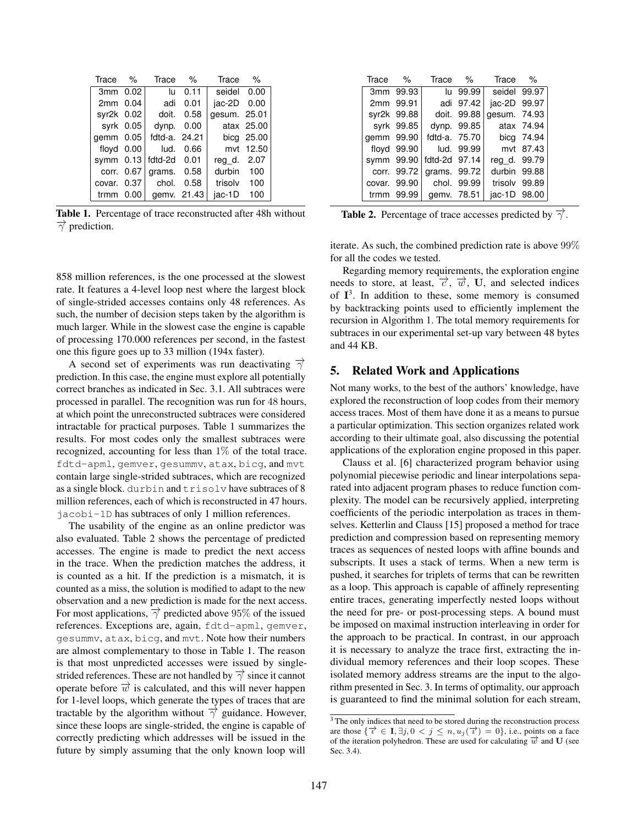| Trace %       |            | Trace          | $\%$ | Trace        | $\%$       |
|---------------|------------|----------------|------|--------------|------------|
| 3mm 0.02      |            | lu -           | 0.11 | seidel       | 0.00       |
| 2mm 0.04      |            | adi            | 0.01 | iac-2D       | 0.00       |
| syr2k 0.02    |            | doit.          | 0.58 | gesum. 25.01 |            |
|               | syrk 0.05  | dynp.          | 0.00 |              | atax 25.00 |
| gemm $0.05$   |            | fdtd-a. 24.21  |      |              | bicg 25.00 |
| floyd 0.00    |            | lud.           | 0.66 |              | mvt 12.50  |
| symm $0.13$   |            | $fdtd-2d$ 0.01 |      | reg d.       | 2.07       |
|               | corr. 0.67 | grams.         | 0.58 | durbin 100   |            |
| covar. $0.37$ |            | chol.          | 0.58 | trisolv      | 100        |
| trmm 0.00     |            | gemy. 21.43    |      | jac-1D       | 100        |

<span id="page-8-1"></span>Table 1. Percentage of trace reconstructed after 48h without  $\overrightarrow{\gamma}$  prediction.

858 million references, is the one processed at the slowest rate. It features a 4-level loop nest where the largest block of single-strided accesses contains only 48 references. As such, the number of decision steps taken by the algorithm is much larger. While in the slowest case the engine is capable of processing 170.000 references per second, in the fastest one this figure goes up to 33 million (194x faster).

A second set of experiments was run deactivating  $\overline{\gamma}$ prediction. In this case, the engine must explore all potentially correct branches as indicated in Sec. [3.1.](#page-3-4) All subtraces were processed in parallel. The recognition was run for 48 hours, at which point the unreconstructed subtraces were considered intractable for practical purposes. Table [1](#page-8-1) summarizes the results. For most codes only the smallest subtraces were recognized, accounting for less than  $1\%$  of the total trace. fdtd-apml, gemver, gesummv, atax, bicg, and mvt contain large single-strided subtraces, which are recognized as a single block. durbin and trisolv have subtraces of 8 million references, each of which is reconstructed in 47 hours. jacobi-1D has subtraces of only 1 million references.

The usability of the engine as an online predictor was also evaluated. Table [2](#page-8-2) shows the percentage of predicted accesses. The engine is made to predict the next access in the trace. When the prediction matches the address, it is counted as a hit. If the prediction is a mismatch, it is counted as a miss, the solution is modified to adapt to the new observation and a new prediction is made for the next access. For most applications,  $\overrightarrow{\gamma}$  predicted above 95% of the issued references. Exceptions are, again, fdtd-apml, gemver, gesummv, atax, bicg, and mvt. Note how their numbers are almost complementary to those in Table [1.](#page-8-1) The reason is that most unpredicted accesses were issued by singlestrided references. These are not handled by  $\overrightarrow{\gamma}$  since it cannot operate before  $\overrightarrow{w}$  is calculated, and this will never happen for 1-level loops, which generate the types of traces that are tractable by the algorithm without  $\vec{\gamma}$  guidance. However, since these loops are single-strided, the engine is capable of correctly predicting which addresses will be issued in the future by simply assuming that the only known loop will

| Trace %    |              |               |             | Trace % Trace % |            |
|------------|--------------|---------------|-------------|-----------------|------------|
|            | 3mm 99.93    |               | lu 99.99 l  | seidel 99.97    |            |
|            | 2mm 99.91    |               | adi 97.42   | jac-2D 99.97    |            |
|            | syr2k 99.88  |               | doit. 99.88 | gesum. 74.93    |            |
|            | syrk 99.85   |               | dynp. 99.85 |                 | atax 74.94 |
| gemm 99.90 |              | fdtd-a, 75.70 |             |                 | bicg 74.94 |
|            | floyd 99.90  | lud. 99.99 l  |             |                 | myt 87.43  |
|            | symm 99.90   | fdtd-2d 97.14 |             | reg d. 99.79    |            |
|            | corr. 99.72  | grams. 99.72  |             | durbin 99.88    |            |
|            | covar. 99.90 |               | chol. 99.99 | trisoly 99.89   |            |
|            | trmm 99.99   | gemy. 78.51   |             | jac-1D 98.00    |            |

<span id="page-8-2"></span>**Table 2.** Percentage of trace accesses predicted by  $\overrightarrow{\gamma}$ .

iterate. As such, the combined prediction rate is above 99% for all the codes we tested.

Regarding memory requirements, the exploration engine needs to store, at least,  $\vec{\tau}$ ,  $\vec{w}$ , U, and selected indices of  $I^3$  $I^3$ . In addition to these, some memory is consumed by backtracking points used to efficiently implement the recursion in Algorithm [1.](#page-7-0) The total memory requirements for subtraces in our experimental set-up vary between 48 bytes and 44 KB.

# <span id="page-8-0"></span>5. Related Work and Applications

Not many works, to the best of the authors' knowledge, have explored the reconstruction of loop codes from their memory access traces. Most of them have done it as a means to pursue a particular optimization. This section organizes related work according to their ultimate goal, also discussing the potential applications of the exploration engine proposed in this paper.

Clauss et al. [\[6\]](#page-10-10) characterized program behavior using polynomial piecewise periodic and linear interpolations separated into adjacent program phases to reduce function complexity. The model can be recursively applied, interpreting coefficients of the periodic interpolation as traces in themselves. Ketterlin and Clauss [\[15\]](#page-10-11) proposed a method for trace prediction and compression based on representing memory traces as sequences of nested loops with affine bounds and subscripts. It uses a stack of terms. When a new term is pushed, it searches for triplets of terms that can be rewritten as a loop. This approach is capable of affinely representing entire traces, generating imperfectly nested loops without the need for pre- or post-processing steps. A bound must be imposed on maximal instruction interleaving in order for the approach to be practical. In contrast, in our approach it is necessary to analyze the trace first, extracting the individual memory references and their loop scopes. These isolated memory address streams are the input to the algorithm presented in Sec. [3.](#page-2-0) In terms of optimality, our approach is guaranteed to find the minimal solution for each stream,

<span id="page-8-3"></span><sup>&</sup>lt;sup>3</sup> The only indices that need to be stored during the reconstruction process are those  $\{\vec{i} \in \mathbf{I}, \exists j, 0 < j \le n, u_j(\vec{i}) = 0\}$ , i.e., points on a face of the iteration polyhedron. These are used for calculating  $\vec{w}$  and U (see Sec. [3.4\)](#page-5-0).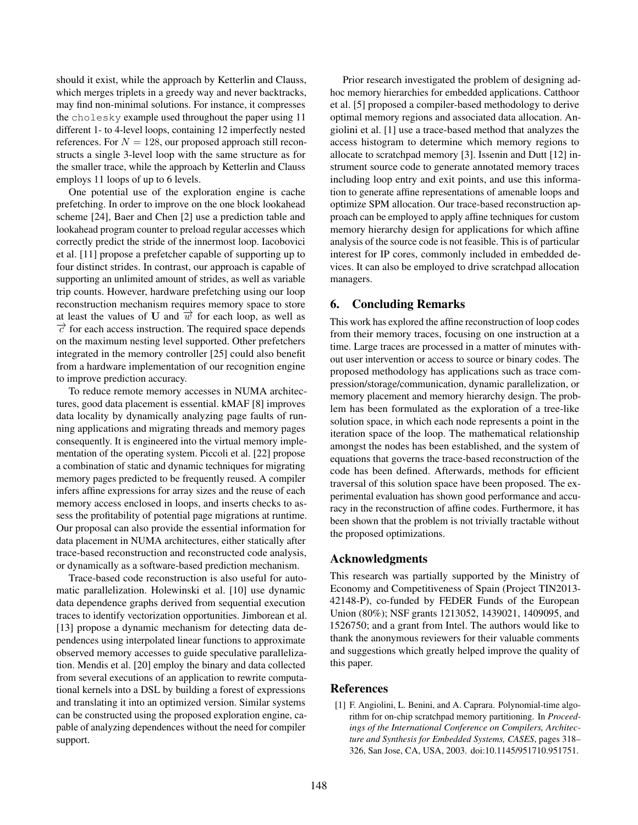should it exist, while the approach by Ketterlin and Clauss, which merges triplets in a greedy way and never backtracks, may find non-minimal solutions. For instance, it compresses the cholesky example used throughout the paper using 11 different 1- to 4-level loops, containing 12 imperfectly nested references. For  $N = 128$ , our proposed approach still reconstructs a single 3-level loop with the same structure as for the smaller trace, while the approach by Ketterlin and Clauss employs 11 loops of up to 6 levels.

One potential use of the exploration engine is cache prefetching. In order to improve on the one block lookahead scheme [\[24\]](#page-10-12), Baer and Chen [\[2\]](#page-10-13) use a prediction table and lookahead program counter to preload regular accesses which correctly predict the stride of the innermost loop. Iacobovici et al. [\[11\]](#page-10-14) propose a prefetcher capable of supporting up to four distinct strides. In contrast, our approach is capable of supporting an unlimited amount of strides, as well as variable trip counts. However, hardware prefetching using our loop reconstruction mechanism requires memory space to store at least the values of U and  $\vec{w}$  for each loop, as well as  $\vec{\tau}$  for each access instruction. The required space depends on the maximum nesting level supported. Other prefetchers integrated in the memory controller [\[25\]](#page-10-15) could also benefit from a hardware implementation of our recognition engine to improve prediction accuracy.

To reduce remote memory accesses in NUMA architectures, good data placement is essential. kMAF [\[8\]](#page-10-16) improves data locality by dynamically analyzing page faults of running applications and migrating threads and memory pages consequently. It is engineered into the virtual memory implementation of the operating system. Piccoli et al. [\[22\]](#page-10-17) propose a combination of static and dynamic techniques for migrating memory pages predicted to be frequently reused. A compiler infers affine expressions for array sizes and the reuse of each memory access enclosed in loops, and inserts checks to assess the profitability of potential page migrations at runtime. Our proposal can also provide the essential information for data placement in NUMA architectures, either statically after trace-based reconstruction and reconstructed code analysis, or dynamically as a software-based prediction mechanism.

Trace-based code reconstruction is also useful for automatic parallelization. Holewinski et al. [\[10\]](#page-10-18) use dynamic data dependence graphs derived from sequential execution traces to identify vectorization opportunities. Jimborean et al. [\[13\]](#page-10-19) propose a dynamic mechanism for detecting data dependences using interpolated linear functions to approximate observed memory accesses to guide speculative parallelization. Mendis et al. [\[20\]](#page-10-20) employ the binary and data collected from several executions of an application to rewrite computational kernels into a DSL by building a forest of expressions and translating it into an optimized version. Similar systems can be constructed using the proposed exploration engine, capable of analyzing dependences without the need for compiler support.

Prior research investigated the problem of designing adhoc memory hierarchies for embedded applications. Catthoor et al. [\[5\]](#page-10-21) proposed a compiler-based methodology to derive optimal memory regions and associated data allocation. Angiolini et al. [\[1\]](#page-9-0) use a trace-based method that analyzes the access histogram to determine which memory regions to allocate to scratchpad memory [\[3\]](#page-10-22). Issenin and Dutt [\[12\]](#page-10-23) instrument source code to generate annotated memory traces including loop entry and exit points, and use this information to generate affine representations of amenable loops and optimize SPM allocation. Our trace-based reconstruction approach can be employed to apply affine techniques for custom memory hierarchy design for applications for which affine analysis of the source code is not feasible. This is of particular interest for IP cores, commonly included in embedded devices. It can also be employed to drive scratchpad allocation managers.

# 6. Concluding Remarks

This work has explored the affine reconstruction of loop codes from their memory traces, focusing on one instruction at a time. Large traces are processed in a matter of minutes without user intervention or access to source or binary codes. The proposed methodology has applications such as trace compression/storage/communication, dynamic parallelization, or memory placement and memory hierarchy design. The problem has been formulated as the exploration of a tree-like solution space, in which each node represents a point in the iteration space of the loop. The mathematical relationship amongst the nodes has been established, and the system of equations that governs the trace-based reconstruction of the code has been defined. Afterwards, methods for efficient traversal of this solution space have been proposed. The experimental evaluation has shown good performance and accuracy in the reconstruction of affine codes. Furthermore, it has been shown that the problem is not trivially tractable without the proposed optimizations.

# Acknowledgments

This research was partially supported by the Ministry of Economy and Competitiveness of Spain (Project TIN2013- 42148-P), co-funded by FEDER Funds of the European Union (80%); NSF grants 1213052, 1439021, 1409095, and 1526750; and a grant from Intel. The authors would like to thank the anonymous reviewers for their valuable comments and suggestions which greatly helped improve the quality of this paper.

# **References**

<span id="page-9-0"></span>[1] F. Angiolini, L. Benini, and A. Caprara. Polynomial-time algorithm for on-chip scratchpad memory partitioning. In *Proceedings of the International Conference on Compilers, Architecture and Synthesis for Embedded Systems, CASES*, pages 318– 326, San Jose, CA, USA, 2003. doi[:10.1145/951710.951751.](http://dx.doi.org/10.1145/951710.951751)